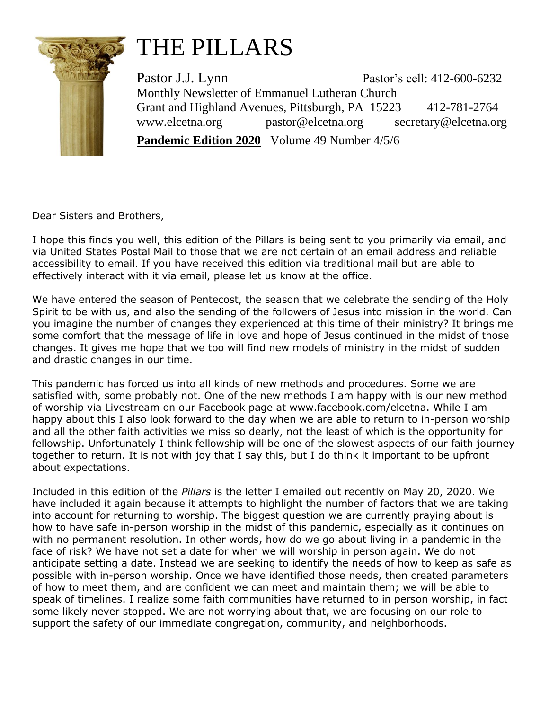

## THE PILLARS

Pastor J.J. Lynn Pastor's cell: 412-600-6232 Monthly Newsletter of Emmanuel Lutheran Church Grant and Highland Avenues, Pittsburgh, PA 15223 412-781-2764 [www.elcetna.org](http://www.elcetna.org/) [pastor@elcetna.org](mailto:pastor@elcetna.org) [secretary@elcetna.org](mailto:secretary@elcetna.org) **Pandemic Edition 2020** Volume 49 Number 4/5/6

Dear Sisters and Brothers,

I hope this finds you well, this edition of the Pillars is being sent to you primarily via email, and via United States Postal Mail to those that we are not certain of an email address and reliable accessibility to email. If you have received this edition via traditional mail but are able to effectively interact with it via email, please let us know at the office.

We have entered the season of Pentecost, the season that we celebrate the sending of the Holy Spirit to be with us, and also the sending of the followers of Jesus into mission in the world. Can you imagine the number of changes they experienced at this time of their ministry? It brings me some comfort that the message of life in love and hope of Jesus continued in the midst of those changes. It gives me hope that we too will find new models of ministry in the midst of sudden and drastic changes in our time.

This pandemic has forced us into all kinds of new methods and procedures. Some we are satisfied with, some probably not. One of the new methods I am happy with is our new method of worship via Livestream on our Facebook page at www.facebook.com/elcetna. While I am happy about this I also look forward to the day when we are able to return to in-person worship and all the other faith activities we miss so dearly, not the least of which is the opportunity for fellowship. Unfortunately I think fellowship will be one of the slowest aspects of our faith journey together to return. It is not with joy that I say this, but I do think it important to be upfront about expectations.

Included in this edition of the *Pillars* is the letter I emailed out recently on May 20, 2020. We have included it again because it attempts to highlight the number of factors that we are taking into account for returning to worship. The biggest question we are currently praying about is how to have safe in-person worship in the midst of this pandemic, especially as it continues on with no permanent resolution. In other words, how do we go about living in a pandemic in the face of risk? We have not set a date for when we will worship in person again. We do not anticipate setting a date. Instead we are seeking to identify the needs of how to keep as safe as possible with in-person worship. Once we have identified those needs, then created parameters of how to meet them, and are confident we can meet and maintain them; we will be able to speak of timelines. I realize some faith communities have returned to in person worship, in fact some likely never stopped. We are not worrying about that, we are focusing on our role to support the safety of our immediate congregation, community, and neighborhoods.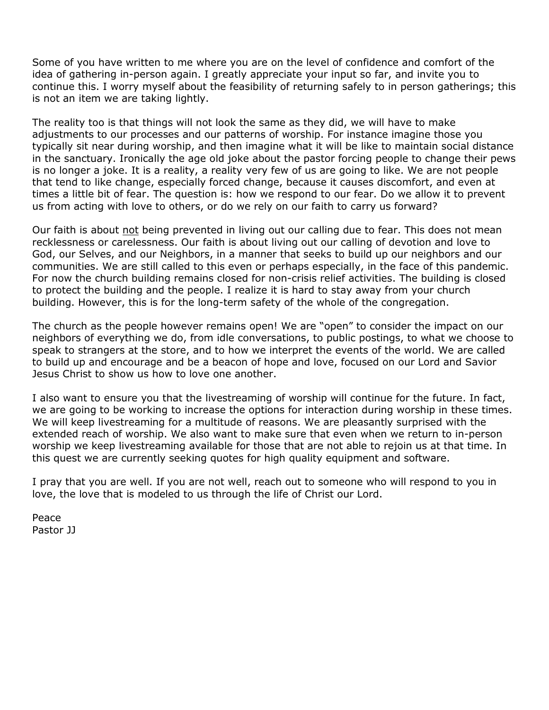Some of you have written to me where you are on the level of confidence and comfort of the idea of gathering in-person again. I greatly appreciate your input so far, and invite you to continue this. I worry myself about the feasibility of returning safely to in person gatherings; this is not an item we are taking lightly.

The reality too is that things will not look the same as they did, we will have to make adjustments to our processes and our patterns of worship. For instance imagine those you typically sit near during worship, and then imagine what it will be like to maintain social distance in the sanctuary. Ironically the age old joke about the pastor forcing people to change their pews is no longer a joke. It is a reality, a reality very few of us are going to like. We are not people that tend to like change, especially forced change, because it causes discomfort, and even at times a little bit of fear. The question is: how we respond to our fear. Do we allow it to prevent us from acting with love to others, or do we rely on our faith to carry us forward?

Our faith is about not being prevented in living out our calling due to fear. This does not mean recklessness or carelessness. Our faith is about living out our calling of devotion and love to God, our Selves, and our Neighbors, in a manner that seeks to build up our neighbors and our communities. We are still called to this even or perhaps especially, in the face of this pandemic. For now the church building remains closed for non-crisis relief activities. The building is closed to protect the building and the people. I realize it is hard to stay away from your church building. However, this is for the long-term safety of the whole of the congregation.

The church as the people however remains open! We are "open" to consider the impact on our neighbors of everything we do, from idle conversations, to public postings, to what we choose to speak to strangers at the store, and to how we interpret the events of the world. We are called to build up and encourage and be a beacon of hope and love, focused on our Lord and Savior Jesus Christ to show us how to love one another.

I also want to ensure you that the livestreaming of worship will continue for the future. In fact, we are going to be working to increase the options for interaction during worship in these times. We will keep livestreaming for a multitude of reasons. We are pleasantly surprised with the extended reach of worship. We also want to make sure that even when we return to in-person worship we keep livestreaming available for those that are not able to rejoin us at that time. In this quest we are currently seeking quotes for high quality equipment and software.

I pray that you are well. If you are not well, reach out to someone who will respond to you in love, the love that is modeled to us through the life of Christ our Lord.

Peace Pastor JJ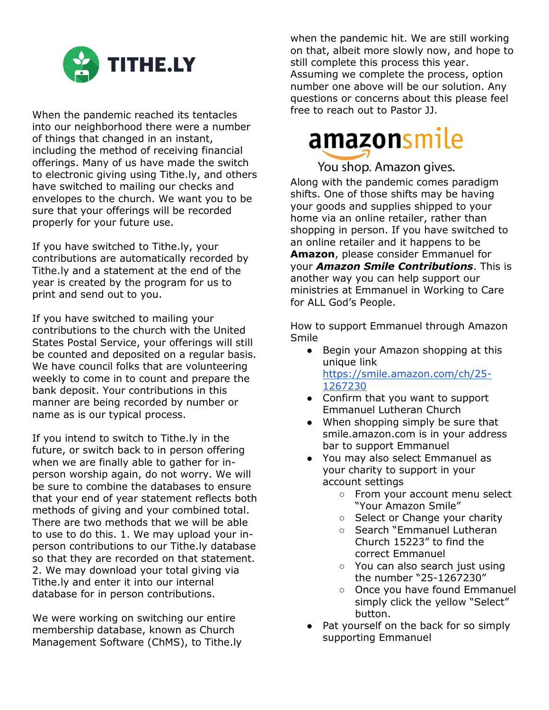

When the pandemic reached its tentacles into our neighborhood there were a number of things that changed in an instant, including the method of receiving financial offerings. Many of us have made the switch to electronic giving using Tithe.ly, and others have switched to mailing our checks and envelopes to the church. We want you to be sure that your offerings will be recorded properly for your future use.

If you have switched to Tithe.ly, your contributions are automatically recorded by Tithe.ly and a statement at the end of the year is created by the program for us to print and send out to you.

If you have switched to mailing your contributions to the church with the United States Postal Service, your offerings will still be counted and deposited on a regular basis. We have council folks that are volunteering weekly to come in to count and prepare the bank deposit. Your contributions in this manner are being recorded by number or name as is our typical process.

If you intend to switch to Tithe.ly in the future, or switch back to in person offering when we are finally able to gather for inperson worship again, do not worry. We will be sure to combine the databases to ensure that your end of year statement reflects both methods of giving and your combined total. There are two methods that we will be able to use to do this. 1. We may upload your inperson contributions to our Tithe.ly database so that they are recorded on that statement. 2. We may download your total giving via Tithe.ly and enter it into our internal database for in person contributions.

We were working on switching our entire membership database, known as Church Management Software (ChMS), to Tithe.ly when the pandemic hit. We are still working on that, albeit more slowly now, and hope to still complete this process this year. Assuming we complete the process, option number one above will be our solution. Any questions or concerns about this please feel free to reach out to Pastor JJ.

# amazonsmile

You shop. Amazon gives.

Along with the pandemic comes paradigm shifts. One of those shifts may be having your goods and supplies shipped to your home via an online retailer, rather than shopping in person. If you have switched to an online retailer and it happens to be **Amazon**, please consider Emmanuel for your *Amazon Smile Contributions*. This is another way you can help support our ministries at Emmanuel in Working to Care for ALL God's People.

How to support Emmanuel through Amazon Smile

- Begin your Amazon shopping at this unique link [https://smile.amazon.com/ch/25-](https://smile.amazon.com/ch/25-1267230) [1267230](https://smile.amazon.com/ch/25-1267230)
- Confirm that you want to support Emmanuel Lutheran Church
- When shopping simply be sure that smile.amazon.com is in your address bar to support Emmanuel
- You may also select Emmanuel as your charity to support in your account settings
	- From your account menu select "Your Amazon Smile"
	- Select or Change your charity
	- Search "Emmanuel Lutheran Church 15223" to find the correct Emmanuel
	- You can also search just using the number "25-1267230"
	- Once you have found Emmanuel simply click the yellow "Select" button.
- Pat yourself on the back for so simply supporting Emmanuel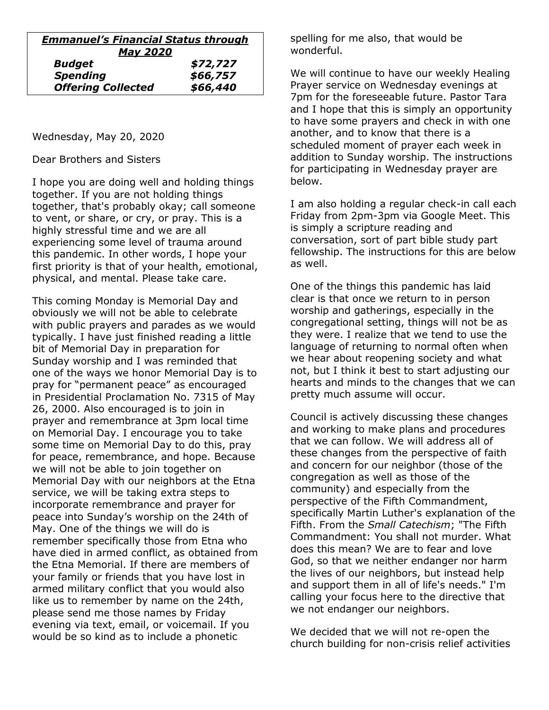| <b>Emmanuel's Financial Status through</b> |          |  |
|--------------------------------------------|----------|--|
| <b>May 2020</b>                            |          |  |
| <b>Budget</b>                              | \$72,727 |  |
| <b>Spending</b>                            | \$66,757 |  |
| <b>Offering Collected</b>                  | \$66,440 |  |

Wednesday, May 20, 2020

Dear Brothers and Sisters

I hope you are doing well and holding things together. If you are not holding things together, that's probably okay; call someone to vent, or share, or cry, or pray. This is a highly stressful time and we are all experiencing some level of trauma around this pandemic. In other words, I hope your first priority is that of your health, emotional, physical, and mental. Please take care.

This coming Monday is Memorial Day and obviously we will not be able to celebrate with public prayers and parades as we would typically. I have just finished reading a little bit of Memorial Day in preparation for Sunday worship and I was reminded that one of the ways we honor Memorial Day is to pray for "permanent peace" as encouraged in Presidential Proclamation No. 7315 of May 26, 2000. Also encouraged is to join in prayer and remembrance at 3pm local time on Memorial Day. I encourage you to take some time on Memorial Day to do this, pray for peace, remembrance, and hope. Because we will not be able to join together on Memorial Day with our neighbors at the Etna service, we will be taking extra steps to incorporate remembrance and prayer for peace into Sunday's worship on the 24th of May. One of the things we will do is remember specifically those from Etna who have died in armed conflict, as obtained from the Etna Memorial. If there are members of your family or friends that you have lost in armed military conflict that you would also like us to remember by name on the 24th, please send me those names by Friday evening via text, email, or voicemail. If you would be so kind as to include a phonetic

spelling for me also, that would be wonderful.

We will continue to have our weekly Healing Prayer service on Wednesday evenings at 7pm for the foreseeable future. Pastor Tara and I hope that this is simply an opportunity to have some prayers and check in with one another, and to know that there is a scheduled moment of prayer each week in addition to Sunday worship. The instructions for participating in Wednesday prayer are below.

I am also holding a regular check-in call each Friday from 2pm-3pm via Google Meet. This is simply a scripture reading and conversation, sort of part bible study part fellowship. The instructions for this are below as well.

One of the things this pandemic has laid clear is that once we return to in person worship and gatherings, especially in the congregational setting, things will not be as they were. I realize that we tend to use the language of returning to normal often when we hear about reopening society and what not, but I think it best to start adjusting our hearts and minds to the changes that we can pretty much assume will occur.

Council is actively discussing these changes and working to make plans and procedures that we can follow. We will address all of these changes from the perspective of faith and concern for our neighbor (those of the congregation as well as those of the community) and especially from the perspective of the Fifth Commandment, specifically Martin Luther's explanation of the Fifth. From the *Small Catechism*; "The Fifth Commandment: You shall not murder. What does this mean? We are to fear and love God, so that we neither endanger nor harm the lives of our neighbors, but instead help and support them in all of life's needs." I'm calling your focus here to the directive that we not endanger our neighbors.

We decided that we will not re-open the church building for non-crisis relief activities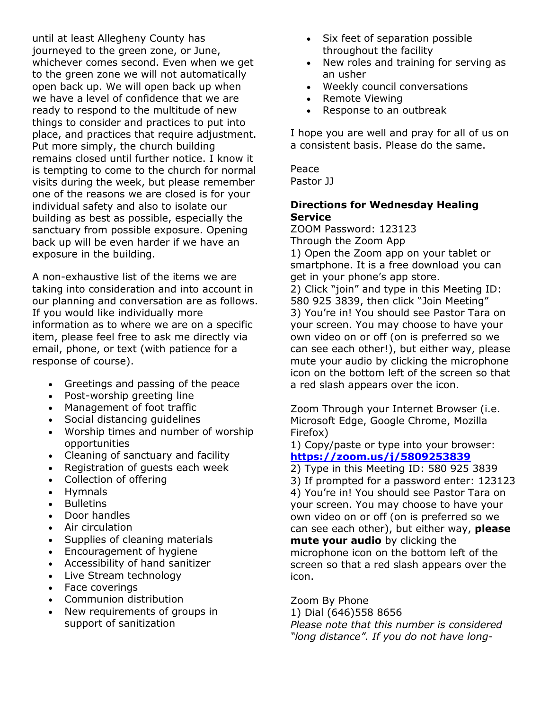until at least Allegheny County has journeyed to the green zone, or June, whichever comes second. Even when we get to the green zone we will not automatically open back up. We will open back up when we have a level of confidence that we are ready to respond to the multitude of new things to consider and practices to put into place, and practices that require adjustment. Put more simply, the church building remains closed until further notice. I know it is tempting to come to the church for normal visits during the week, but please remember one of the reasons we are closed is for your individual safety and also to isolate our building as best as possible, especially the sanctuary from possible exposure. Opening back up will be even harder if we have an exposure in the building.

A non-exhaustive list of the items we are taking into consideration and into account in our planning and conversation are as follows. If you would like individually more information as to where we are on a specific item, please feel free to ask me directly via email, phone, or text (with patience for a response of course).

- Greetings and passing of the peace
- Post-worship greeting line
- Management of foot traffic
- Social distancing guidelines
- Worship times and number of worship opportunities
- Cleaning of sanctuary and facility
- Registration of guests each week
- Collection of offering
- Hymnals
- **Bulletins**
- Door handles
- Air circulation
- Supplies of cleaning materials
- Encouragement of hygiene
- Accessibility of hand sanitizer
- Live Stream technology
- Face coverings
- Communion distribution
- New requirements of groups in support of sanitization
- Six feet of separation possible throughout the facility
- New roles and training for serving as an usher
- Weekly council conversations
- Remote Viewing
- Response to an outbreak

I hope you are well and pray for all of us on a consistent basis. Please do the same.

Peace Pastor JJ

### **Directions for Wednesday Healing Service**

ZOOM Password: 123123 Through the Zoom App 1) Open the Zoom app on your tablet or smartphone. It is a free download you can get in your phone's app store. 2) Click "join" and type in this Meeting ID: 580 925 3839, then click "Join Meeting" 3) You're in! You should see Pastor Tara on your screen. You may choose to have your own video on or off (on is preferred so we can see each other!), but either way, please mute your audio by clicking the microphone icon on the bottom left of the screen so that a red slash appears over the icon.

Zoom Through your Internet Browser (i.e. Microsoft Edge, Google Chrome, Mozilla Firefox)

1) Copy/paste or type into your browser: **<https://zoom.us/j/5809253839>**

2) Type in this Meeting ID: 580 925 3839

3) If prompted for a password enter: 123123 4) You're in! You should see Pastor Tara on your screen. You may choose to have your own video on or off (on is preferred so we can see each other), but either way, **please mute your audio** by clicking the microphone icon on the bottom left of the screen so that a red slash appears over the icon.

Zoom By Phone

1) Dial (646)558 8656 *Please note that this number is considered "long distance". If you do not have long-*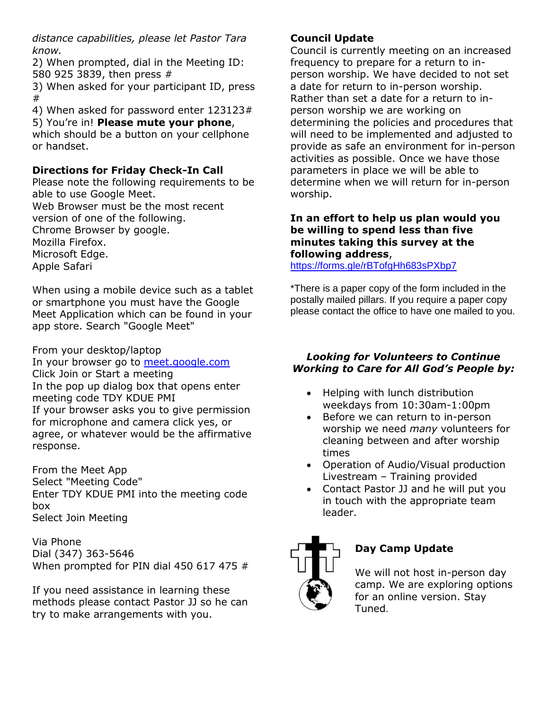*distance capabilities, please let Pastor Tara know.*

2) When prompted, dial in the Meeting ID: 580 925 3839, then press #

3) When asked for your participant ID, press #

4) When asked for password enter 123123# 5) You're in! **Please mute your phone**,

which should be a button on your cellphone or handset.

## **Directions for Friday Check-In Call**

Please note the following requirements to be able to use Google Meet.

Web Browser must be the most recent version of one of the following.

Chrome Browser by google.

Mozilla Firefox.

Microsoft Edge.

Apple Safari

When using a mobile device such as a tablet or smartphone you must have the Google Meet Application which can be found in your app store. Search "Google Meet"

From your desktop/laptop In your browser go to [meet.google.com](http://meet.google.com/) Click Join or Start a meeting In the pop up dialog box that opens enter meeting code TDY KDUE PMI If your browser asks you to give permission for microphone and camera click yes, or agree, or whatever would be the affirmative response.

From the Meet App Select "Meeting Code" Enter TDY KDUE PMI into the meeting code box Select Join Meeting

Via Phone Dial (347) 363-5646 When prompted for PIN dial 450 617 475 #

If you need assistance in learning these methods please contact Pastor JJ so he can try to make arrangements with you.

## **Council Update**

Council is currently meeting on an increased frequency to prepare for a return to inperson worship. We have decided to not set a date for return to in-person worship. Rather than set a date for a return to inperson worship we are working on determining the policies and procedures that will need to be implemented and adjusted to provide as safe an environment for in-person activities as possible. Once we have those parameters in place we will be able to determine when we will return for in-person worship.

#### **In an effort to help us plan would you be willing to spend less than five minutes taking this survey at the following address**,

<https://forms.gle/rBTofgHh683sPXbp7>

\*There is a paper copy of the form included in the postally mailed pillars. If you require a paper copy please contact the office to have one mailed to you.

#### *Looking for Volunteers to Continue Working to Care for All God's People by:*

- Helping with lunch distribution weekdays from 10:30am-1:00pm
- Before we can return to in-person worship we need *many* volunteers for cleaning between and after worship times
- Operation of Audio/Visual production Livestream – Training provided
- Contact Pastor JJ and he will put you in touch with the appropriate team leader.



## **Day Camp Update**

We will not host in-person day camp. We are exploring options for an online version. Stay Tuned.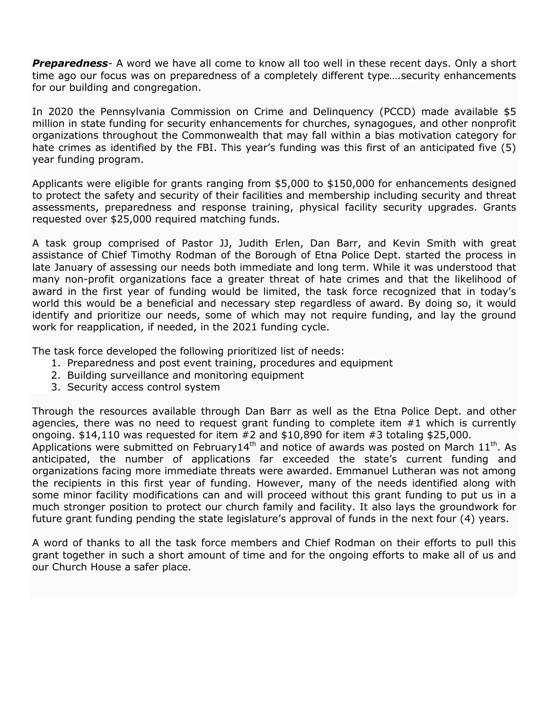*Preparedness*- A word we have all come to know all too well in these recent days. Only a short time ago our focus was on preparedness of a completely different type….security enhancements for our building and congregation.

In 2020 the Pennsylvania Commission on Crime and Delinquency (PCCD) made available \$5 million in state funding for security enhancements for churches, synagogues, and other nonprofit organizations throughout the Commonwealth that may fall within a bias motivation category for hate crimes as identified by the FBI. This year's funding was this first of an anticipated five (5) year funding program.

Applicants were eligible for grants ranging from \$5,000 to \$150,000 for enhancements designed to protect the safety and security of their facilities and membership including security and threat assessments, preparedness and response training, physical facility security upgrades. Grants requested over \$25,000 required matching funds.

A task group comprised of Pastor JJ, Judith Erlen, Dan Barr, and Kevin Smith with great assistance of Chief Timothy Rodman of the Borough of Etna Police Dept. started the process in late January of assessing our needs both immediate and long term. While it was understood that many non-profit organizations face a greater threat of hate crimes and that the likelihood of award in the first year of funding would be limited, the task force recognized that in today's world this would be a beneficial and necessary step regardless of award. By doing so, it would identify and prioritize our needs, some of which may not require funding, and lay the ground work for reapplication, if needed, in the 2021 funding cycle.

The task force developed the following prioritized list of needs:

- 1. Preparedness and post event training, procedures and equipment
- 2. Building surveillance and monitoring equipment
- 3. Security access control system

Through the resources available through Dan Barr as well as the Etna Police Dept. and other agencies, there was no need to request grant funding to complete item #1 which is currently ongoing.  $$14,110$  was requested for item  $#2$  and  $$10,890$  for item  $#3$  totaling  $$25,000$ .

Applications were submitted on February14<sup>th</sup> and notice of awards was posted on March  $11<sup>th</sup>$ . As anticipated, the number of applications far exceeded the state's current funding and organizations facing more immediate threats were awarded. Emmanuel Lutheran was not among the recipients in this first year of funding. However, many of the needs identified along with some minor facility modifications can and will proceed without this grant funding to put us in a much stronger position to protect our church family and facility. It also lays the groundwork for future grant funding pending the state legislature's approval of funds in the next four (4) years.

A word of thanks to all the task force members and Chief Rodman on their efforts to pull this grant together in such a short amount of time and for the ongoing efforts to make all of us and our Church House a safer place.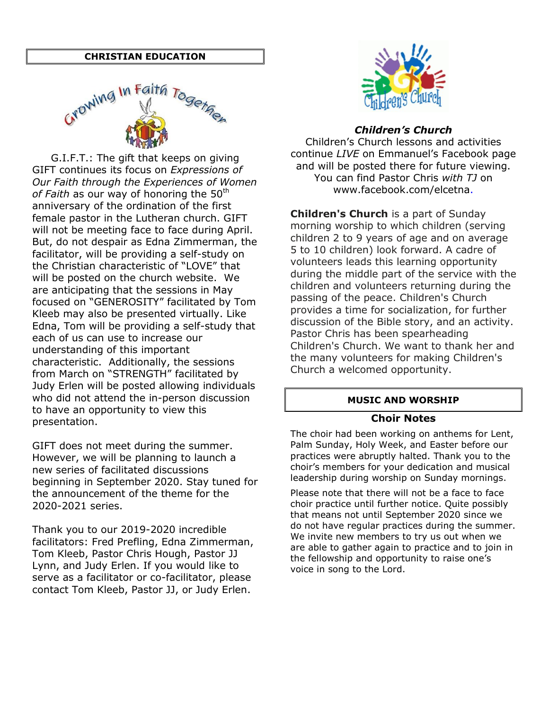#### **CHRISTIAN EDUCATION**



G.I.F.T.: The gift that keeps on giving GIFT continues its focus on *Expressions of Our Faith through the Experiences of Women*  of Faith as our way of honoring the 50<sup>th</sup> anniversary of the ordination of the first female pastor in the Lutheran church. GIFT will not be meeting face to face during April. But, do not despair as Edna Zimmerman, the facilitator, will be providing a self-study on the Christian characteristic of "LOVE" that will be posted on the church website. We are anticipating that the sessions in May focused on "GENEROSITY" facilitated by Tom Kleeb may also be presented virtually. Like Edna, Tom will be providing a self-study that each of us can use to increase our understanding of this important characteristic. Additionally, the sessions from March on "STRENGTH" facilitated by Judy Erlen will be posted allowing individuals who did not attend the in-person discussion to have an opportunity to view this presentation.

GIFT does not meet during the summer. However, we will be planning to launch a new series of facilitated discussions beginning in September 2020. Stay tuned for the announcement of the theme for the 2020-2021 series.

Thank you to our 2019-2020 incredible facilitators: Fred Prefling, Edna Zimmerman, Tom Kleeb, Pastor Chris Hough, Pastor JJ Lynn, and Judy Erlen. If you would like to serve as a facilitator or co-facilitator, please contact Tom Kleeb, Pastor JJ, or Judy Erlen.



#### *Children's Church*

Children's Church lessons and activities continue *LIVE* on Emmanuel's Facebook page and will be posted there for future viewing. You can find Pastor Chris *with TJ* on www.facebook.com/elcetna.

**Children's Church** is a part of Sunday morning worship to which children (serving children 2 to 9 years of age and on average 5 to 10 children) look forward. A cadre of volunteers leads this learning opportunity during the middle part of the service with the children and volunteers returning during the passing of the peace. Children's Church provides a time for socialization, for further discussion of the Bible story, and an activity. Pastor Chris has been spearheading Children's Church. We want to thank her and the many volunteers for making Children's Church a welcomed opportunity.

#### **MUSIC AND WORSHIP**

#### **Choir Notes**

The choir had been working on anthems for Lent, Palm Sunday, Holy Week, and Easter before our practices were abruptly halted. Thank you to the choir's members for your dedication and musical leadership during worship on Sunday mornings.

Please note that there will not be a face to face choir practice until further notice. Quite possibly that means not until September 2020 since we do not have regular practices during the summer. We invite new members to try us out when we are able to gather again to practice and to join in the fellowship and opportunity to raise one's voice in song to the Lord.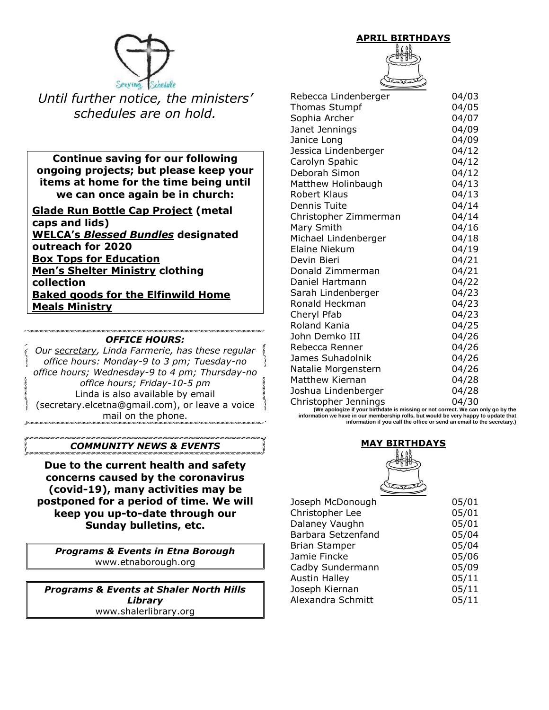

*Until further notice, the ministers' schedules are on hold.*

**Continue saving for our following ongoing projects; but please keep your items at home for the time being until we can once again be in church:**

**Glade Run Bottle Cap Project (metal caps and lids) WELCA's** *Blessed Bundles* **designated outreach for 2020 Box Tops for Education Men's Shelter Ministry clothing collection Baked goods for the Elfinwild Home Meals Ministry**

#### *OFFICE HOURS:*

*Our secretary, Linda Farmerie, has these regular office hours: Monday-9 to 3 pm; Tuesday-no office hours; Wednesday-9 to 4 pm; Thursday-no office hours; Friday-10-5 pm* Linda is also available by email (secretary.elcetna@gmail.com), or leave a voice mail on the phone.

#### *COMMUNITY NEWS & EVENTS*

**Due to the current health and safety concerns caused by the coronavirus (covid-19), many activities may be postponed for a period of time. We will keep you up-to-date through our Sunday bulletins, etc.**

*Programs & Events in Etna Borough* www.etnaborough.org

*Programs & Events at Shaler North Hills Library* www.shalerlibrary.org

**APRIL BIRTHDAYS**

| Rebecca Lindenberger                     | 04/03 |
|------------------------------------------|-------|
| <b>Thomas Stumpf</b>                     | 04/05 |
| Sophia Archer                            | 04/07 |
| Janet Jennings                           | 04/09 |
| Janice Long                              | 04/09 |
| Jessica Lindenberger                     | 04/12 |
| Carolyn Spahic                           | 04/12 |
| Deborah Simon                            | 04/12 |
| Matthew Holinbaugh                       | 04/13 |
| <b>Robert Klaus</b>                      | 04/13 |
| Dennis Tuite                             | 04/14 |
| Christopher Zimmerman                    | 04/14 |
| Mary Smith                               | 04/16 |
| Michael Lindenberger                     | 04/18 |
| Elaine Niekum                            | 04/19 |
| Devin Bieri                              | 04/21 |
| Donald Zimmerman                         | 04/21 |
| Daniel Hartmann                          | 04/22 |
| Sarah Lindenberger                       | 04/23 |
| Ronald Heckman                           | 04/23 |
| Cheryl Pfab                              | 04/23 |
| Roland Kania                             | 04/25 |
| John Demko III                           | 04/26 |
| Rebecca Renner                           | 04/26 |
| James Suhadolnik                         | 04/26 |
| Natalie Morgenstern                      | 04/26 |
| <b>Matthew Kiernan</b>                   | 04/28 |
| Joshua Lindenberger                      | 04/28 |
| Christopher Jennings<br>مدما مما من الما | 04/30 |

**(Drect. We can only go by the information we have in our membership rolls, but would be very happy to update that information if you call the office or send an email to the secretary.)**

#### **MAY BIRTHDAYS**



| Joseph McDonough     | 05/01 |
|----------------------|-------|
| Christopher Lee      | 05/01 |
| Dalaney Vaughn       | 05/01 |
| Barbara Setzenfand   | 05/04 |
| <b>Brian Stamper</b> | 05/04 |
| Jamie Fincke         | 05/06 |
| Cadby Sundermann     | 05/09 |
| <b>Austin Halley</b> | 05/11 |
| Joseph Kiernan       | 05/11 |
| Alexandra Schmitt    | 05/11 |
|                      |       |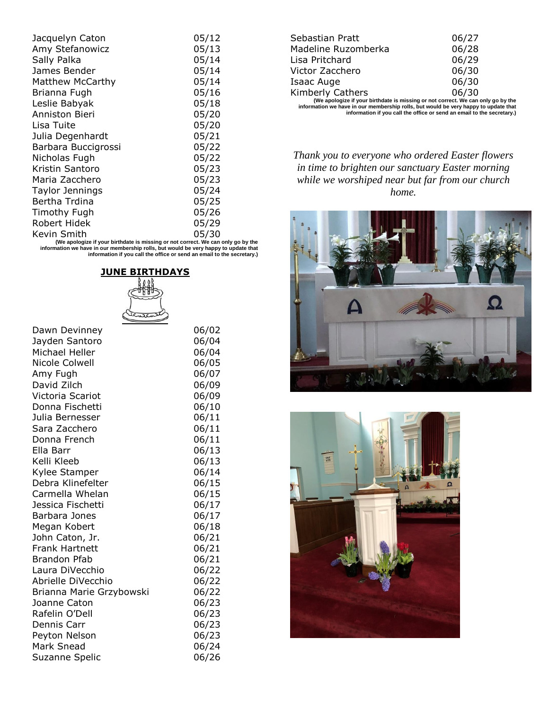| Jacquelyn Caton     | 05/12 |
|---------------------|-------|
| Amy Stefanowicz     | 05/13 |
| Sally Palka         | 05/14 |
| James Bender        | 05/14 |
| Matthew McCarthy    | 05/14 |
| Brianna Fugh        | 05/16 |
| Leslie Babyak       | 05/18 |
| Anniston Bieri      | 05/20 |
| Lisa Tuite          | 05/20 |
| Julia Degenhardt    | 05/21 |
| Barbara Buccigrossi | 05/22 |
| Nicholas Fugh       | 05/22 |
| Kristin Santoro     | 05/23 |
| Maria Zacchero      | 05/23 |
| Taylor Jennings     | 05/24 |
| Bertha Trdina       | 05/25 |
| Timothy Fugh        | 05/26 |
| Robert Hidek        | 05/29 |
| Kevin Smith         | 05/30 |

Kevin Smith 05/30 **(We apologize if your birthdate is missing or not correct. We can only go by the information we have in our membership rolls, but would be very happy to update that information if you call the office or send an email to the secretary.)**



| Dawn Devinney            | 06/02 |
|--------------------------|-------|
| Jayden Santoro           | 06/04 |
| Michael Heller           | 06/04 |
| Nicole Colwell           | 06/05 |
| Amy Fugh                 | 06/07 |
| David Zilch              | 06/09 |
| Victoria Scariot         | 06/09 |
| Donna Fischetti          | 06/10 |
| Julia Bernesser          | 06/11 |
| Sara Zacchero            | 06/11 |
| Donna French             | 06/11 |
| Ella Barr                | 06/13 |
| Kelli Kleeb              | 06/13 |
| Kylee Stamper            | 06/14 |
| Debra Klinefelter        | 06/15 |
| Carmella Whelan          | 06/15 |
| Jessica Fischetti        | 06/17 |
| Barbara Jones            | 06/17 |
| Megan Kobert             | 06/18 |
| John Caton, Jr.          | 06/21 |
| <b>Frank Hartnett</b>    | 06/21 |
| Brandon Pfab             | 06/21 |
| Laura DiVecchio          | 06/22 |
| Abrielle DiVecchio       | 06/22 |
| Brianna Marie Grzybowski | 06/22 |
| Joanne Caton             | 06/23 |
| Rafelin O'Dell           | 06/23 |
| Dennis Carr              | 06/23 |
| Peyton Nelson            | 06/23 |
| Mark Snead               | 06/24 |
| Suzanne Spelic           | 06/26 |
|                          |       |

| Sebastian Pratt                                                              | 06/27 |  |
|------------------------------------------------------------------------------|-------|--|
| Madeline Ruzomberka                                                          | 06/28 |  |
| Lisa Pritchard                                                               | 06/29 |  |
| Victor Zacchero                                                              | 06/30 |  |
| Isaac Auge                                                                   | 06/30 |  |
| Kimberly Cathers                                                             | 06/30 |  |
| (We apologize if your birthdate is missing or not correct. We can only go by |       |  |

Kimberly Cathers 06/30<br>(We apologize if your birthdate is missing or not correct. We can only go by the<br>information we have in our membership rolls, but would be very happy to update that<br>information in you call the office

*Thank you to everyone who ordered Easter flowers in time to brighten our sanctuary Easter morning while we worshiped near but far from our church home.*